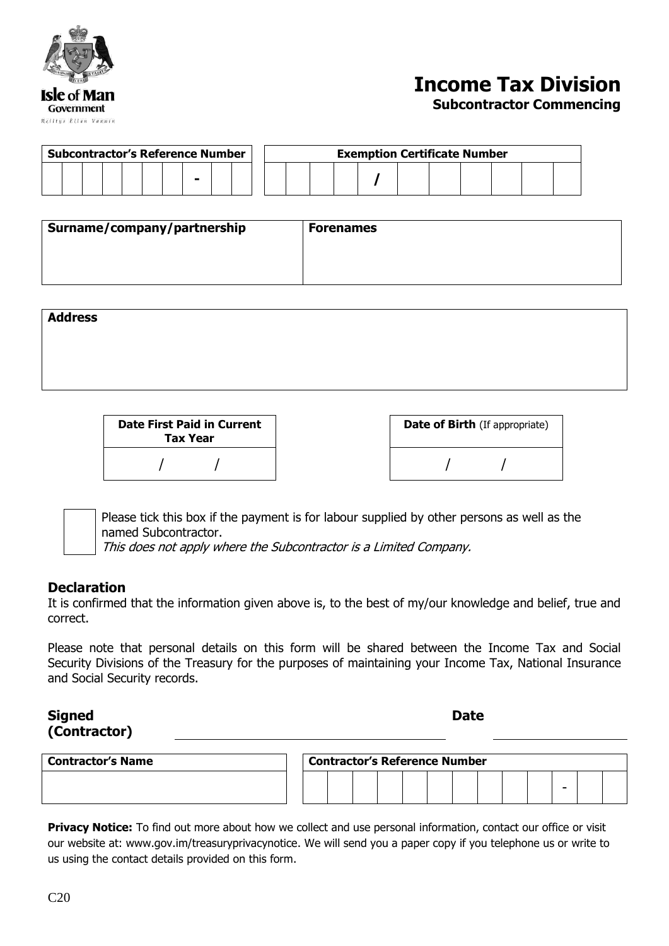

# **Income Tax Division**

#### **Subcontractor Commencing**

| <b>Subcontractor's Reference Number</b> |  |  |  |  | <b>Exemption Certificate Number</b> |  |  |  |  |  |  |  |  |  |  |  |  |  |  |  |
|-----------------------------------------|--|--|--|--|-------------------------------------|--|--|--|--|--|--|--|--|--|--|--|--|--|--|--|
|                                         |  |  |  |  |                                     |  |  |  |  |  |  |  |  |  |  |  |  |  |  |  |

| Surname/company/partnership | <b>Forenames</b> |  |
|-----------------------------|------------------|--|
|                             |                  |  |
|                             |                  |  |

| <b>Address</b> |  |  |  |
|----------------|--|--|--|
|                |  |  |  |
|                |  |  |  |
|                |  |  |  |

| <b>Date First Paid in Current</b><br><b>Tax Year</b> | <b>Date of Birth (If ap)</b> |
|------------------------------------------------------|------------------------------|
|                                                      |                              |

| <b>Date of Birth</b> (If appropriate) |
|---------------------------------------|
|                                       |

Please tick this box if the payment is for labour supplied by other persons as well as the named Subcontractor.

This does not apply where the Subcontractor is a Limited Company.

### **Declaration**

It is confirmed that the information given above is, to the best of my/our knowledge and belief, true and correct.

Please note that personal details on this form will be shared between the Income Tax and Social Security Divisions of the Treasury for the purposes of maintaining your Income Tax, National Insurance and Social Security records.

### **Signed (Contractor)**

**Date**

| <b>Contractor's Name</b> | <b>Contractor's Reference Number</b> |  |  |  |  |  |  |  |  |  |   |  |  |
|--------------------------|--------------------------------------|--|--|--|--|--|--|--|--|--|---|--|--|
|                          |                                      |  |  |  |  |  |  |  |  |  | - |  |  |

**Privacy Notice:** To find out more about how we collect and use personal information, contact our office or visit our website at: www.gov.im/treasuryprivacynotice. We will send you a paper copy if you telephone us or write to us using the contact details provided on this form.